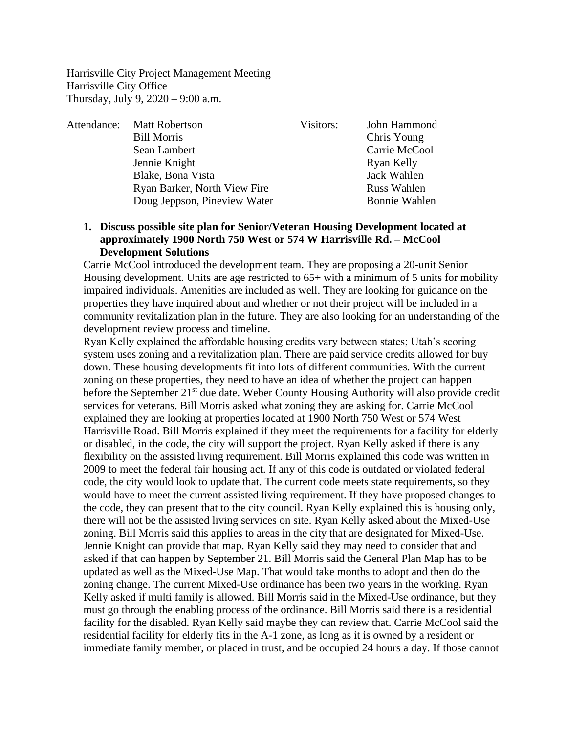Harrisville City Project Management Meeting Harrisville City Office Thursday, July 9, 2020 – 9:00 a.m.

Attendance: Matt Robertson Visitors: John Hammond Bill Morris Chris Young Sean Lambert Carrie McCool Jennie Knight Ryan Kelly Blake, Bona Vista Jack Wahlen Ryan Barker, North View Fire Russ Wahlen Doug Jeppson, Pineview Water Bonnie Wahlen

## **1. Discuss possible site plan for Senior/Veteran Housing Development located at approximately 1900 North 750 West or 574 W Harrisville Rd. – McCool Development Solutions**

Carrie McCool introduced the development team. They are proposing a 20-unit Senior Housing development. Units are age restricted to  $65+$  with a minimum of 5 units for mobility impaired individuals. Amenities are included as well. They are looking for guidance on the properties they have inquired about and whether or not their project will be included in a community revitalization plan in the future. They are also looking for an understanding of the development review process and timeline.

Ryan Kelly explained the affordable housing credits vary between states; Utah's scoring system uses zoning and a revitalization plan. There are paid service credits allowed for buy down. These housing developments fit into lots of different communities. With the current zoning on these properties, they need to have an idea of whether the project can happen before the September 21<sup>st</sup> due date. Weber County Housing Authority will also provide credit services for veterans. Bill Morris asked what zoning they are asking for. Carrie McCool explained they are looking at properties located at 1900 North 750 West or 574 West Harrisville Road. Bill Morris explained if they meet the requirements for a facility for elderly or disabled, in the code, the city will support the project. Ryan Kelly asked if there is any flexibility on the assisted living requirement. Bill Morris explained this code was written in 2009 to meet the federal fair housing act. If any of this code is outdated or violated federal code, the city would look to update that. The current code meets state requirements, so they would have to meet the current assisted living requirement. If they have proposed changes to the code, they can present that to the city council. Ryan Kelly explained this is housing only, there will not be the assisted living services on site. Ryan Kelly asked about the Mixed-Use zoning. Bill Morris said this applies to areas in the city that are designated for Mixed-Use. Jennie Knight can provide that map. Ryan Kelly said they may need to consider that and asked if that can happen by September 21. Bill Morris said the General Plan Map has to be updated as well as the Mixed-Use Map. That would take months to adopt and then do the zoning change. The current Mixed-Use ordinance has been two years in the working. Ryan Kelly asked if multi family is allowed. Bill Morris said in the Mixed-Use ordinance, but they must go through the enabling process of the ordinance. Bill Morris said there is a residential facility for the disabled. Ryan Kelly said maybe they can review that. Carrie McCool said the residential facility for elderly fits in the A-1 zone, as long as it is owned by a resident or immediate family member, or placed in trust, and be occupied 24 hours a day. If those cannot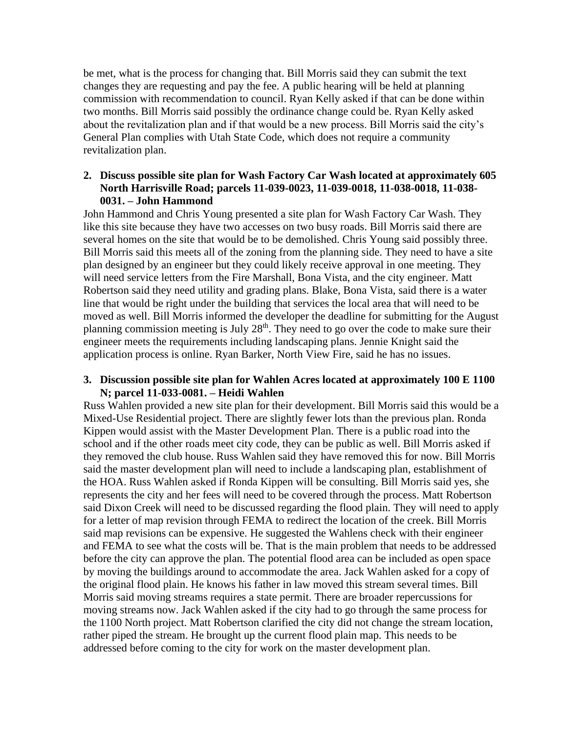be met, what is the process for changing that. Bill Morris said they can submit the text changes they are requesting and pay the fee. A public hearing will be held at planning commission with recommendation to council. Ryan Kelly asked if that can be done within two months. Bill Morris said possibly the ordinance change could be. Ryan Kelly asked about the revitalization plan and if that would be a new process. Bill Morris said the city's General Plan complies with Utah State Code, which does not require a community revitalization plan.

## **2. Discuss possible site plan for Wash Factory Car Wash located at approximately 605 North Harrisville Road; parcels 11-039-0023, 11-039-0018, 11-038-0018, 11-038- 0031. – John Hammond**

John Hammond and Chris Young presented a site plan for Wash Factory Car Wash. They like this site because they have two accesses on two busy roads. Bill Morris said there are several homes on the site that would be to be demolished. Chris Young said possibly three. Bill Morris said this meets all of the zoning from the planning side. They need to have a site plan designed by an engineer but they could likely receive approval in one meeting. They will need service letters from the Fire Marshall, Bona Vista, and the city engineer. Matt Robertson said they need utility and grading plans. Blake, Bona Vista, said there is a water line that would be right under the building that services the local area that will need to be moved as well. Bill Morris informed the developer the deadline for submitting for the August planning commission meeting is July  $28<sup>th</sup>$ . They need to go over the code to make sure their engineer meets the requirements including landscaping plans. Jennie Knight said the application process is online. Ryan Barker, North View Fire, said he has no issues.

## **3. Discussion possible site plan for Wahlen Acres located at approximately 100 E 1100 N; parcel 11-033-0081. – Heidi Wahlen**

Russ Wahlen provided a new site plan for their development. Bill Morris said this would be a Mixed-Use Residential project. There are slightly fewer lots than the previous plan. Ronda Kippen would assist with the Master Development Plan. There is a public road into the school and if the other roads meet city code, they can be public as well. Bill Morris asked if they removed the club house. Russ Wahlen said they have removed this for now. Bill Morris said the master development plan will need to include a landscaping plan, establishment of the HOA. Russ Wahlen asked if Ronda Kippen will be consulting. Bill Morris said yes, she represents the city and her fees will need to be covered through the process. Matt Robertson said Dixon Creek will need to be discussed regarding the flood plain. They will need to apply for a letter of map revision through FEMA to redirect the location of the creek. Bill Morris said map revisions can be expensive. He suggested the Wahlens check with their engineer and FEMA to see what the costs will be. That is the main problem that needs to be addressed before the city can approve the plan. The potential flood area can be included as open space by moving the buildings around to accommodate the area. Jack Wahlen asked for a copy of the original flood plain. He knows his father in law moved this stream several times. Bill Morris said moving streams requires a state permit. There are broader repercussions for moving streams now. Jack Wahlen asked if the city had to go through the same process for the 1100 North project. Matt Robertson clarified the city did not change the stream location, rather piped the stream. He brought up the current flood plain map. This needs to be addressed before coming to the city for work on the master development plan.